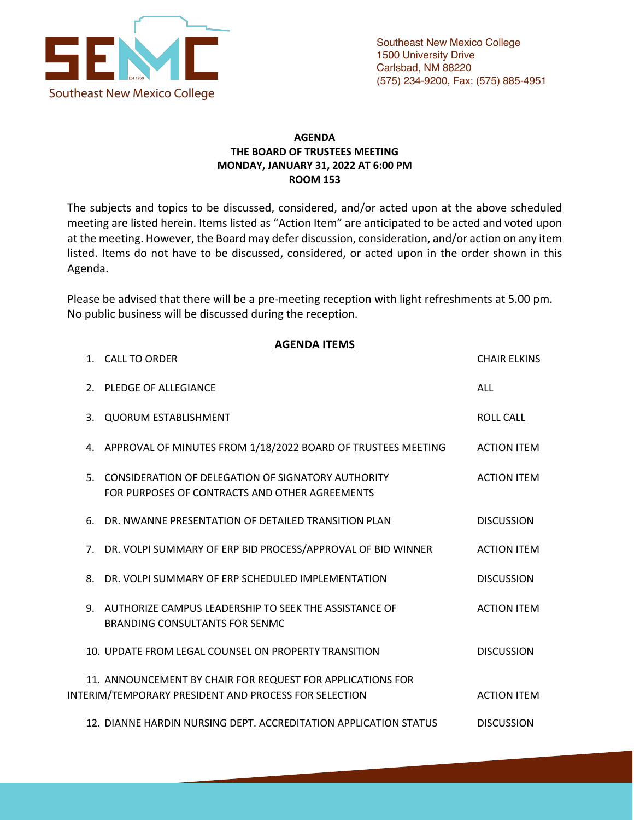

## **AGENDA THE BOARD OF TRUSTEES MEETING MONDAY, JANUARY 31, 2022 AT 6:00 PM ROOM 153**

The subjects and topics to be discussed, considered, and/or acted upon at the above scheduled meeting are listed herein. Items listed as "Action Item" are anticipated to be acted and voted upon at the meeting. However, the Board may defer discussion, consideration, and/or action on any item listed. Items do not have to be discussed, considered, or acted upon in the order shown in this Agenda.

Please be advised that there will be a pre-meeting reception with light refreshments at 5.00 pm. No public business will be discussed during the reception.

|    | <b>AGENDA ITEMS</b><br>1. CALL TO ORDER                                                                             | <b>CHAIR ELKINS</b> |
|----|---------------------------------------------------------------------------------------------------------------------|---------------------|
|    | 2. PLEDGE OF ALLEGIANCE                                                                                             | <b>ALL</b>          |
| 3. | <b>QUORUM ESTABLISHMENT</b>                                                                                         | <b>ROLL CALL</b>    |
|    | 4. APPROVAL OF MINUTES FROM 1/18/2022 BOARD OF TRUSTEES MEETING                                                     | <b>ACTION ITEM</b>  |
| 5. | CONSIDERATION OF DELEGATION OF SIGNATORY AUTHORITY<br>FOR PURPOSES OF CONTRACTS AND OTHER AGREEMENTS                | <b>ACTION ITEM</b>  |
| 6. | DR. NWANNE PRESENTATION OF DETAILED TRANSITION PLAN                                                                 | <b>DISCUSSION</b>   |
|    | 7. DR. VOLPI SUMMARY OF ERP BID PROCESS/APPROVAL OF BID WINNER                                                      | <b>ACTION ITEM</b>  |
| 8. | DR. VOLPI SUMMARY OF ERP SCHEDULED IMPLEMENTATION                                                                   | <b>DISCUSSION</b>   |
|    | 9. AUTHORIZE CAMPUS LEADERSHIP TO SEEK THE ASSISTANCE OF<br><b>BRANDING CONSULTANTS FOR SENMC</b>                   | <b>ACTION ITEM</b>  |
|    | 10. UPDATE FROM LEGAL COUNSEL ON PROPERTY TRANSITION                                                                | <b>DISCUSSION</b>   |
|    | 11. ANNOUNCEMENT BY CHAIR FOR REQUEST FOR APPLICATIONS FOR<br>INTERIM/TEMPORARY PRESIDENT AND PROCESS FOR SELECTION | <b>ACTION ITEM</b>  |
|    | 12. DIANNE HARDIN NURSING DEPT. ACCREDITATION APPLICATION STATUS                                                    | <b>DISCUSSION</b>   |